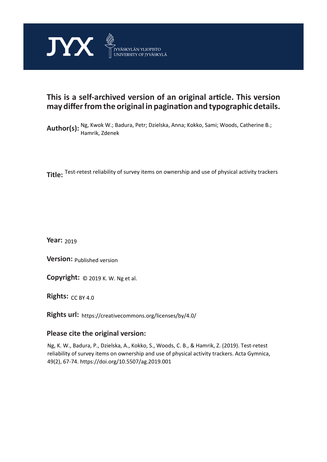

# **This is a self-archived version of an original article. This version may differ from the original in pagination and typographic details.**

Author(s): Ng, Kwok W.; Badura, Petr; Dzielska, Anna; Kokko, Sami; Woods, Catherine B.;<br>Author(s): Usquili, Zdanak Hamrik, Zdenek

**Title:**  Test-retest reliability of survey items on ownership and use of physical activity trackers

**Year:**  2019

**Version: Published version** 

**Version:** Published version<br>**Copyright:** © 2019 K. W. Ng et al.

**Rights:** CC BY 4.0

**Rights url:**  https://creativecommons.org/licenses/by/4.0/

## **Please cite the original version:**

Ng, K. W., Badura, P., Dzielska, A., Kokko, S., Woods, C. B., & Hamrik, Z. (2019). Test-retest reliability of survey items on ownership and use of physical activity trackers. Acta Gymnica, 49(2), 67-74. https://doi.org/10.5507/ag.2019.001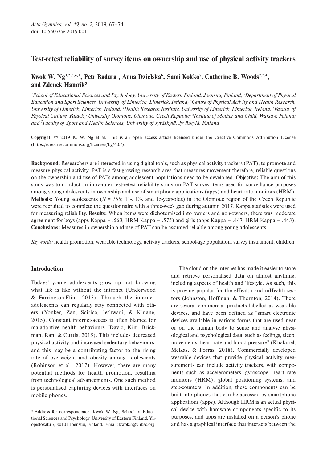## Test-retest reliability of survey items on ownership and use of physical activity trackers

## Kwok W. Ng<sup>1,2,3,4,\*</sup>, Petr Badura<sup>5</sup>, Anna Dzielska<sup>6</sup>, Sami Kokko<sup>7</sup>, Catherine B. Woods<sup>2,3,4</sup>, and Zdenek Hamrik<sup>5</sup>

*1 School of Educational Sciences and Psychology, University of Eastern Finland, Joensuu, Finland; 2 Department of Physical Education and Sport Sciences, University of Limerick, Limerick, Ireland; 3 Centre of Physical Activity and Health Research, University of Limerick, Limerick, Ireland; 4 Health Research Institute, University of Limerick, Limerick, Ireland; 5 Faculty of Physical Culture, Palacký University Olomouc, Olomouc, Czech Republic; 6 Insitute of Mother and Child, Warsaw, Poland; and 7 Faculty of Sport and Health Sciences, University of Jyväskylä, Jyväskylä, Finland*

Copyright: © 2019 K. W. Ng et al. This is an open access article licensed under the Creative Commons Attribution License [\(https://creativecommons.org/licenses/by/4.0/](https://creativecommons.org/licenses/by/4.0/)).

Background: Researchers are interested in using digital tools, such as physical activity trackers (PAT), to promote and measure physical activity. PAT is a fast-growing research area that measures movement therefore, reliable questions on the ownership and use of PATs among adolescent populations need to be developed. Objective: The aim of this study was to conduct an intra-rater test-retest reliability study on PAT survey items used for surveillance purposes among young adolescents in ownership and use of smartphone applications (apps) and heart rate monitors (HRM). Methods: Young adolescents  $(N = 755; 11, 13)$ , and 15-year-olds) in the Olomouc region of the Czech Republic were recruited to complete the questionnaire with a three-week gap during autumn 2017. Kappa statistics were used for measuring reliability. Results: When items were dichotomised into owners and non-owners, there was moderate agreement for boys (apps Kappa =  $.563$ , HRM Kappa =  $.575$ ) and girls (apps Kappa =  $.447$ , HRM Kappa =  $.443$ ). Conclusions: Measures in ownership and use of PAT can be assumed reliable among young adolescents.

*Keywords:* health promotion, wearable technology, activity trackers, school-age population, survey instrument, children

## Introduction

Todays' young adolescents grow up not knowing what life is like without the internet (Underwood & Farrington-Flint, 2015). Through the internet, adolescents can regularly stay connected with others (Yonker, Zan, Scirica, Jethwani, & Kinane, 2015). Constant internet-access is often blamed for maladaptive health behaviours (David, Kim, Brickman, Ran, & Curtis, 2015). This includes decreased physical activity and increased sedentary behaviours, and this may be a contributing factor to the rising rate of overweight and obesity among adolescents (Robinson et al., 2017). However, there are many potential methods for health promotion, resulting from technological advancements. One such method is personalised capturing devices with interfaces on mobile phones.

The cloud on the internet has made it easier to store and retrieve personalised data on almost anything, including aspects of health and lifestyle. As such, this is proving popular for the eHealth and mHealth sectors (Johnston, Hoffman, & Thornton, 2014). There are several commercial products labelled as wearable devices, and have been defined as "smart electronic devices available in various forms that are used near or on the human body to sense and analyse physiological and psychological data, such as feelings, sleep, movements, heart rate and blood pressure" (Khakurel, Melkas, & Porras, 2018). Commercially developed wearable devices that provide physical activity measurements can include activity trackers, with components such as accelerometers, gyroscope, heart rate monitors (HRM), global positioning systems, and step-counters. In addition, these components can be built into phones that can be accessed by smartphone applications (apps). Although HRM is an actual physical device with hardware components specific to its purposes, and apps are installed on a person's phone and has a graphical interface that interacts between the

<sup>\*</sup> Address for correspondence: Kwok W. Ng, School of Educational Sciences and Psychology, University of Eastern Finland, Yliopistokatu 7, 80101 Joensuu, Finland. E-mail: kwok.ng@hbsc.org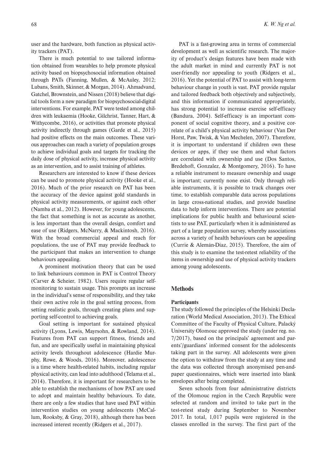user and the hardware, both function as physical activity trackers (PAT).

There is much potential to use tailored information obtained from wearables to help promote physical activity based on biopsychosocial information obtained through PATs (Fanning, Mullen, & McAuley, 2012; Lubans, Smith, Skinner, & Morgan, 2014). Ahmadvand, Gatchel, Brownstein, and Nissen (2018) believe that digital tools form a new paradigm for biopsychosocial-digital interventions. For example, PAT were tested among children with leukaemia (Hooke, Gilchrist, Tanner, Hart, & Withycombe, 2016), or activities that promote physical activity indirectly through games (Garde et al., 2015) had positive effects on the main outcomes. These various approaches can reach a variety of population groups to achieve individual goals and targets for tracking the daily dose of physical activity, increase physical activity as an intervention, and to assist training of athletes.

Researchers are interested to know if these devices can be used to promote physical activity (Hooke et al., 2016). Much of the prior research on PAT has been the accuracy of the device against gold standards in physical activity measurements, or against each other (Namba et al., 2012). However, for young adolescents, the fact that something is not as accurate as another, is less important than the overall design, comfort and ease of use (Ridgers, McNarry, & Mackintosh, 2016). With the broad commercial appeal and reach for populations, the use of PAT may provide feedback to the participant that makes an intervention to change behaviours appealing.

A prominent motivation theory that can be used to link behaviours common in PAT is Control Theory (Carver & Scheier, 1982). Users require regular selfmonitoring to sustain usage. This prompts an increase in the individual's sense of responsibility, and they take their own active role in the goal setting process, from setting realistic goals, through creating plans and supporting self-control to achieving goals.

Goal setting is important for sustained physical activity (Lyons, Lewis, Mayrsohn, & Rowland, 2014). Features from PAT can support fitness, friends and fun, and are specifically useful in maintaining physical activity levels throughout adolescence (Hardie Murphy, Rowe, & Woods, 2016). Moreover, adolescence is a time where health-related habits, including regular physical activity, can lead into adulthood (Telama et al., 2014). Therefore, it is important for researchers to be able to establish the mechanisms of how PAT are used to adopt and maintain healthy behaviours. To date, there are only a few studies that have used PAT within intervention studies on young adolescents (McCallum, Rooksby, & Gray, 2018), although there has been increased interest recently (Ridgers et al., 2017).

PAT is a fast-growing area in terms of commercial development as well as scientific research. The majority of product's design features have been made with the adult market in mind and currently PAT is not user-friendly nor appealing to youth (Ridgers et al., 2016). Yet the potential of PAT to assist with long-term behaviour change in youth is vast. PAT provide regular and tailored feedback both objectively and subjectively, and this information if communicated appropriately, has strong potential to increase exercise self-efficacy (Bandura, 2004). Self-efficacy is an important component of social cognitive theory, and a positive correlate of a child's physical activity behaviour (Van Der Horst, Paw, Twisk, & Van Mechelen, 2007). Therefore, it is important to understand if children own these devices or apps, if they use them and what factors are correlated with ownership and use (Dos Santos, Bredehoft, Gonzalez, & Montgomery, 2016). To have a reliable instrument to measure ownership and usage is important; currently none exist. Only through reliable instruments, it is possible to track changes over time, to establish comparable data across populations in large cross-national studies, and provide baseline data to help inform interventions. There are potential implications for public health and behavioural scientists to use PAT, particularly when it is administered as part of a large population survey, whereby associations across a variety of health behaviours can be appealing (Currie & Alemán-Díaz, 2015). Therefore, the aim of this study is to examine the test-retest reliability of the items in ownership and use of physical activity trackers among young adolescents.

#### Methods

#### **Participants**

The study followed the principles of the Helsinki Declaration (World Medical Association, 2013). The Ethical Committee of the Faculty of Physical Culture, Palacký University Olomouc approved the study (under reg. no. 7/2017), based on the principals' agreement and parents'/guardians' informed consent for the adolescents taking part in the survey. All adolescents were given the option to withdraw from the study at any time and the data was collected through anonymised pen-andpaper questionnaires, which were inserted into blank envelopes after being completed.

Seven schools from four administrative districts of the Olomouc region in the Czech Republic were selected at random and invited to take part in the test-retest study during September to November 2017. In total, 1,017 pupils were registered in the classes enrolled in the survey. The first part of the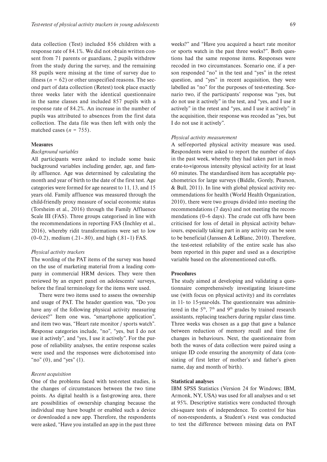data collection (Test) included 856 children with a response rate of 84.1%. We did not obtain written consent from 71 parents or guardians, 2 pupils withdrew from the study during the survey, and the remaining 88 pupils were missing at the time of survey due to illness ( $n = 62$ ) or other unspecified reasons. The second part of data collection (Retest) took place exactly three weeks later with the identical questionnaire in the same classes and included 857 pupils with a response rate of 84.2%. An increase in the number of pupils was attributed to absences from the first data collection. The data file was then left with only the matched cases  $(n = 755)$ .

#### **Measures**

#### *Background variables*

All participants were asked to include some basic background variables including gender, age, and family affluence. Age was determined by calculating the month and year of birth to the date of the first test. Age categories were formed for age nearest to 11, 13, and 15 years old. Family affluence was measured through the child-friendly proxy measure of social economic status (Torsheim et al., 2016) through the Family Affluence Scale III (FAS). Three groups categorised in line with the recommendations in reporting FAS (Inchley et al., 2016), whereby ridit transformations were set to low (0–0.2), medium (.21–.80), and high (.81–1) FAS.

#### *Physical activity trackers*

The wording of the PAT items of the survey was based on the use of marketing material from a leading company in commercial HRM devices. They were then reviewed by an expert panel on adolescents' surveys, before the final terminology for the items were used.

There were two items used to assess the ownership and usage of PAT. The header question was, "Do you have any of the following physical activity measuring devices?" Item one was, "smartphone application", and item two was, "Heart rate monitor / sports watch". Response categories include, "no", "yes, but I do not use it actively", and "yes, I use it actively". For the purpose of reliability analyses, the entire response scales were used and the responses were dichotomised into "no"  $(0)$ , and "yes"  $(1)$ .

### *Recent acquisition*

One of the problems faced with test-retest studies, is the changes of circumstances between the two time points. As digital health is a fast-growing area, there are possibilities of ownership changing because the individual may have bought or enabled such a device or downloaded a new app. Therefore, the respondents were asked, "Have you installed an app in the past three

weeks?" and "Have you acquired a heart rate monitor or sports watch in the past three weeks?". Both questions had the same response items. Responses were recoded in two circumstances. Scenario one, if a person responded "no" in the test and "yes" in the retest question, and "yes" in recent acquisition, they were labelled as "no" for the purposes of test-retesting. Scenario two, if the participants' response was "yes, but do not use it actively" in the test, and "yes, and I use it actively" in the retest and "yes, and I use it actively" in the acquisition, their response was recoded as "yes, but I do not use it actively".

#### *Physical activity measurement*

A self-reported physical activity measure was used. Respondents were asked to report the number of days in the past week, whereby they had taken part in moderate-to-vigorous intensity physical activity for at least 60 minutes. The standardised item has acceptable psychometrics for large surveys (Biddle, Gorely, Pearson, & Bull, 2011). In line with global physical activity recommendations for health (World Health Organization, 2010), there were two groups divided into meeting the recommendations (7 days) and not meeting the recommendations (0–6 days). The crude cut offs have been criticised for loss of detail in physical activity behaviours, especially taking part in any activity can be seen to be beneficial (Janssen & LeBlanc, 2010). Therefore, the test-retest reliability of the entire scale has also been reported in this paper and used as a descriptive variable based on the aforementioned cut-offs.

#### **Procedures**

The study aimed at developing and validating a questionnaire comprehensively investigating leisure-time use (with focus on physical activity) and its correlates in 11- to 15-year-olds. The questionnaire was administered in the  $5<sup>th</sup>$ ,  $7<sup>th</sup>$  and  $9<sup>th</sup>$  grades by trained research assistants, replacing teachers during regular class time. Three weeks was chosen as a gap that gave a balance between reduction of memory recall and time for changes in behaviours. Next, the questionnaire from both the waves of data collection were paired using a unique ID code ensuring the anonymity of data (consisting of first letter of mother's and father's given name, day and month of birth).

#### Statistical analyses

IBM SPSS Statistics (Version 24 for Windows; IBM, Armonk, NY, USA) was used for all analyses and  $\alpha$  set at 95%. Descriptive statistics were conducted through chi-square tests of independence. To control for bias of non-respondents, a Student's *t*-test was conducted to test the difference between missing data on PAT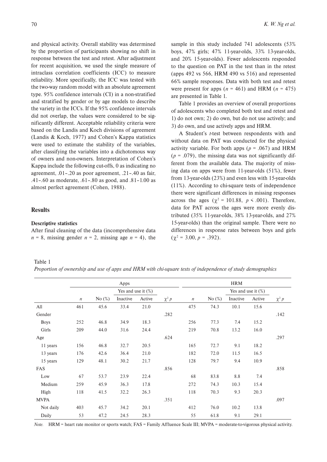and physical activity. Overall stability was determined by the proportion of participants showing no shift in response between the test and retest. After adjustment for recent acquisition, we used the single measure of intraclass correlation coefficients (ICC) to measure reliability. More specifically, the ICC was tested with the two-way random model with an absolute agreement type. 95% confidence intervals (CI) in a non-stratified and stratified by gender or by age models to describe the variety in the ICCs. If the 95% confidence intervals did not overlap, the values were considered to be significantly different. Acceptable reliability criteria were based on the Landis and Koch divisions of agreement (Landis & Koch, 1977) and Cohen's Kappa statistics were used to estimate the stability of the variables, after classifying the variables into a dichotomous way of owners and non-owners. Interpretation of Cohen's Kappa include the following cut-offs, 0 as indicating no agreement, .01–.20 as poor agreement, .21–.40 as fair, .41–.60 as moderate, .61–.80 as good, and .81–1.00 as almost perfect agreement (Cohen, 1988).

## **Results**

#### Descriptive statistics

After final cleaning of the data (incomprehensive data  $n = 8$ , missing gender  $n = 2$ , missing age  $n = 4$ ), the sample in this study included 741 adolescents (53% boys, 47% girls; 47% 11-year-olds, 33% 13-year-olds, and 20% 15-year-olds). Fewer adolescents responded to the question on PAT in the test than in the retest (apps 492 vs 566, HRM 490 vs 516) and represented 66% sample responses. Data with both test and retest were present for apps  $(n = 461)$  and HRM  $(n = 475)$ are presented in Table 1.

Table 1 provides an overview of overall proportions of adolescents who completed both test and retest and 1) do not own; 2) do own, but do not use actively; and 3) do own, and use actively apps and HRM.

A Student's *t*-test between respondents with and without data on PAT was conducted for the physical activity variable. For both apps ( $p = .067$ ) and HRM  $(p = .079)$ , the missing data was not significantly different from the available data. The majority of missing data on apps were from 11-year-olds (51%), fewer from 13-year-olds (23%) and even less with 15-year-olds (11%). According to chi-square tests of independence there were significant differences in missing responses across the ages ( $\chi^2$  = 101.88,  $p \le 0.001$ ). Therefore, data for PAT across the ages were more evenly distributed (35% 11-year-olds, 38% 13-year-olds, and 27% 15-year-olds) than the original sample. There were no differences in response rates between boys and girls  $(\chi^2 = 3.00, p = .392).$ 

## Table 1

*Proportion of ownership and use of apps and HRM with chi-square tests of independence of study demographics*

|             | Apps                  |           |          |        |            | <b>HRM</b>       |           |                       |        |            |
|-------------|-----------------------|-----------|----------|--------|------------|------------------|-----------|-----------------------|--------|------------|
|             | Yes and use it $(\%)$ |           |          |        |            |                  |           | Yes and use it $(\%)$ |        |            |
|             | $\boldsymbol{n}$      | No $(\%)$ | Inactive | Active | $\chi^2 p$ | $\boldsymbol{n}$ | No $(\%)$ | Inactive              | Active | $\chi^2 p$ |
| All         | 461                   | 45.6      | 33.4     | 21.0   |            | 475              | 74.3      | 10.1                  | 15.6   |            |
| Gender      |                       |           |          |        | .282       |                  |           |                       |        | .142       |
| <b>Boys</b> | 252                   | 46.8      | 34.9     | 18.3   |            | 256              | 77.3      | 7.4                   | 15.2   |            |
| Girls       | 209                   | 44.0      | 31.6     | 24.4   |            | 219              | 70.8      | 13.2                  | 16.0   |            |
| Age         |                       |           |          |        | .624       |                  |           |                       |        | .297       |
| 11 years    | 156                   | 46.8      | 32.7     | 20.5   |            | 165              | 72.7      | 9.1                   | 18.2   |            |
| 13 years    | 176                   | 42.6      | 36.4     | 21.0   |            | 182              | 72.0      | 11.5                  | 16.5   |            |
| 15 years    | 129                   | 48.1      | 30.2     | 21.7   |            | 128              | 79.7      | 9.4                   | 10.9   |            |
| FAS         |                       |           |          |        | .856       |                  |           |                       |        | .858       |
| Low         | 67                    | 53.7      | 23.9     | 22.4   |            | 68               | 83.8      | 8.8                   | 7.4    |            |
| Medium      | 259                   | 45.9      | 36.3     | 17.8   |            | 272              | 74.3      | 10.3                  | 15.4   |            |
| High        | 118                   | 41.5      | 32.2     | 26.3   |            | 118              | 70.3      | 9.3                   | 20.3   |            |
| <b>MVPA</b> |                       |           |          |        | .351       |                  |           |                       |        | .097       |
| Not daily   | 403                   | 45.7      | 34.2     | 20.1   |            | 412              | 76.0      | 10.2                  | 13.8   |            |
| Daily       | 53                    | 47.2      | 24.5     | 28.3   |            | 55               | 61.8      | 9.1                   | 29.1   |            |

*Note.* HRM = heart rate monitor or sports watch; FAS = Family Affluence Scale III; MVPA = moderate-to-vigorous physical activity.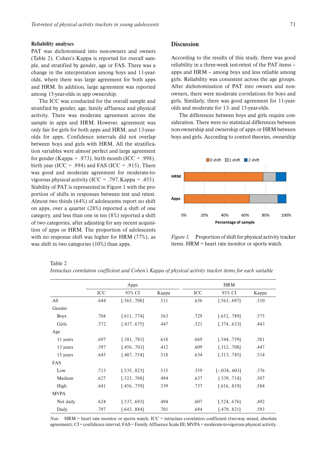#### Reliability analyses

PAT was dichotomised into non-owners and owners (Table 2). Cohen's Kappa is reported for overall sample, and stratified by gender, age or FAS. There was a change in the interpretation among boys and 11-yearolds, where there was large agreement for both apps and HRM. In addition, large agreement was reported among 15-year-olds in app ownership.

The ICC was conducted for the overall sample and stratified by gender, age, family affluence and physical activity. There was moderate agreement across the sample in apps and HRM. However, agreement was only fair for girls for both apps and HRM, and 13-yearolds for apps. Confidence intervals did not overlap between boys and girls with HRM. All the stratification variables were almost perfect and large agreement for gender (Kappa =  $.973$ ), birth month (ICC =  $.998$ ), birth year (ICC =  $.994$ ) and FAS (ICC =  $.915$ ). There was good and moderate agreement for moderate-tovigorous physical activity (ICC =  $.797$ , Kappa =  $.455$ ). Stability of PAT is represented in Figure 1 with the proportion of shifts in responses between test and retest. Almost two thirds (64%) of adolescents report no shift on apps, over a quarter (28%) reported a shift of one category, and less than one in ten (8%) reported a shift of two categories, after adjusting for any recent acquisition of apps or HRM. The proportion of adolescents with no response shift was higher for HRM (77%), as was shift in two categories (10%) than apps.

#### **Discussion**

According to the results of this study, there was good reliability in a three-week test-retest of the PAT items – apps and HRM – among boys and less reliable among girls. Reliability was consistent across the age groups. After dichotomisation of PAT into owners and nonowners, there were moderate correlations for boys and girls. Similarly, there was good agreement for 11-yearolds and moderate for 13- and 15-year-olds.

The differences between boys and girls require consideration. There were no statistical differences between non-ownership and ownership of apps or HRM between boys and girls. According to control theories, ownership



*Figure 1.* Proportion of shift for physical activity tracker items. HRM = heart rate monitor or sports watch.

Apps HRM ICC 95% CI Kappa ICC 95% CI Kappa All .644 [.565, .708] .511 .636 [.563, .697] .510 Gender Boys .704 [.611, .774] .563 .729 [.652, .789] .575 Girls .572 [.437, .675] .447 .521 [.374, .633] .443 Age 11 years .697 [.581, .781] .618 .669 [.544, .759] .581 13 years .597 [.456, .701] .412 .609 [.312, .708] .447 15 years .645 [.487, .754] .518 .634 [.313, .745] .514 FAS Low .713 [.535, .823] .515 .359 [–.034, .603] .376 Medium .627 [.523, .708] .494 .637 [.539, .714] .507 High .641 [.456, .759] .539 .737 [.616, .819] .584 MVPA Not daily .624 [.537, .693] .494 .607 [.524, .676] .492 Daily .797 [.643, .884] .701 .694 [.479, .821] .593

*Note.* HRM = heart rate monitor or sports watch; ICC = intraclass correlation coefficient (two-way mixed, absolute agreement); CI = confidence interval; FAS = Family Affluence Scale III; MVPA = moderate-to-vigorous physical activity.

Table 2

*Intraclass correlation coefficient and Cohen's Kappa of physical activity tracker items for each variable*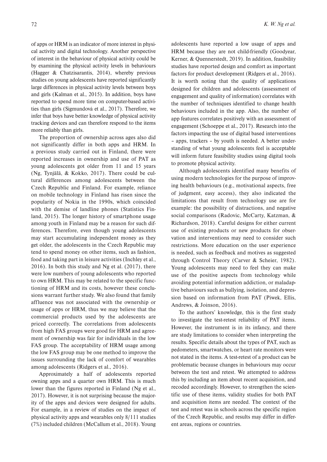of apps or HRM is an indicator of more interest in physical activity and digital technology. Another perspective of interest in the behaviour of physical activity could be by examining the physical activity levels in behaviours (Hagger & Chatzisarantis, 2014), whereby previous studies on young adolescents have reported significantly large differences in physical activity levels between boys and girls (Kalman et al., 2015). In addition, boys have reported to spend more time on computer-based activities than girls (Sigmundová et al., 2017). Therefore, we infer that boys have better knowledge of physical activity tracking devices and can therefore respond to the items more reliably than girls.

The proportion of ownership across ages also did not significantly differ in both apps and HRM. In a previous study carried out in Finland, there were reported increases in ownership and use of PAT as young adolescents got older from 11 and 15 years (Ng, Tynjälä, & Kokko, 2017). There could be cultural differences among adolescents between the Czech Republic and Finland. For example, reliance on mobile technology in Finland has risen since the popularity of Nokia in the 1990s, which coincided with the demise of landline phones (Statistics Finland, 2015). The longer history of smartphone usage among youth in Finland may be a reason for such differences. Therefore, even though young adolescents may start accumulating independent money as they get older, the adolescents in the Czech Republic may tend to spend money on other items, such as fashion, food and taking part in leisure activities (Inchley et al., 2016). In both this study and Ng et al. (2017), there were low numbers of young adolescents who reported to own HRM. This may be related to the specific functioning of HRM and its costs, however these conclusions warrant further study. We also found that family affluence was not associated with the ownership or usage of apps or HRM, thus we may believe that the commercial products used by the adolescents are priced correctly. The correlations from adolescents from high FAS groups were good for HRM and agreement of ownership was fair for individuals in the low FAS group. The acceptability of HRM usage among the low FAS group may be one method to improve the issues surrounding the lack of comfort of wearables among adolescents (Ridgers et al., 2016).

Approximately a half of adolescents reported owning apps and a quarter own HRM. This is much lower than the figures reported in Finland (Ng et al., 2017). However, it is not surprising because the majority of the apps and devices were designed for adults. For example, in a review of studies on the impact of physical activity apps and wearables only 8/111 studies (7%) included children (McCallum et al., 2018). Young

adolescents have reported a low usage of apps and HRM because they are not child-friendly (Goodyear, Kerner, & Quennerstedt, 2019). In addition, feasibility studies have reported design and comfort as important factors for product development (Ridgers et al., 2016). It is worth noting that the quality of applications designed for children and adolescents (assessment of engagement and quality of information) correlates with the number of techniques identified to change health behaviours included in the app. Also, the number of app features correlates positively with an assessment of engagement (Schoeppe et al., 2017). Research into the factors impacting the use of digital based interventions – apps, trackers – by youth is needed. A better understanding of what young adolescents feel is acceptable will inform future feasibility studies using digital tools to promote physical activity.

Although adolescents identified many benefits of using modern technologies for the purpose of improving health behaviours (e.g., motivational aspects, free of judgment, easy access), they also indicated the limitations that result from technology use are for example: the possibility of distractions, and negative social comparisons (Radovic, McCarty, Katzman, & Richardson, 2018). Careful designs for either current use of existing products or new products for observation and interventions may need to consider such restrictions. More education on the user experience is needed, such as feedback and motives as suggested through Control Theory (Carver & Scheier, 1982). Young adolescents may need to feel they can make use of the positive aspects from technology while avoiding potential information addiction, or maladaptive behaviours such as bullying, isolation, and depression based on information from PAT (Piwek, Ellis, Andrews, & Joinson, 2016).

To the authors' knowledge, this is the first study to investigate the test-retest reliability of PAT items. However, the instrument is in its infancy, and there are study limitations to consider when interpreting the results. Specific details about the types of PAT, such as pedometers, smartwatches, or heart rate monitors were not stated in the items. A test-retest of a product can be problematic because changes in behaviours may occur between the test and retest. We attempted to address this by including an item about recent acquisition, and recoded accordingly. However, to strengthen the scientific use of these items, validity studies for both PAT and acquisition items are needed. The context of the test and retest was in schools across the specific region of the Czech Republic, and results may differ in different areas, regions or countries.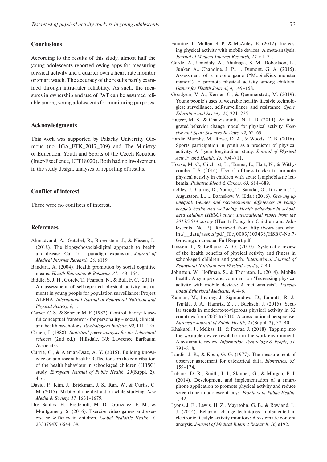## **Conclusions**

According to the results of this study, almost half the young adolescents reported owing apps for measuring physical activity and a quarter own a heart rate monitor or smart watch. The accuracy of the results partly examined through intra-rater reliability. As such, the measures in ownership and use of PAT can be assumed reliable among young adolescents for monitoring purposes.

## Acknowledgments

This work was supported by Palacký University Olomouc (no. IGA\_FTK\_2017\_009) and The Ministry of Education, Youth and Sports of the Czech Republic (Inter-Excellence, LTT18020). Both had no involvement in the study design, analyses or reporting of results.

## Conflict of interest

There were no conflicts of interest.

## **References**

- Ahmadvand, A., Gatchel, R., Brownstein, J., & Nissen, L. (2018). The biopsychosocial-digital approach to health and disease: Call for a paradigm expansion. *Journal of Medical Internet Research, 20,* e189.
- Bandura, A. (2004). Health promotion by social cognitive means. *Health Education & Behavior, 31,* 143–164.
- Biddle, S. J. H., Gorely, T., Pearson, N., & Bull, F. C. (2011). An assessment of self-reported physical activity instruments in young people for population surveillance: Project ALPHA. *International Journal of Behavioral Nutrition and Physical Activity, 8,* 1.
- Carver, C. S., & Scheier, M. F. (1982). Control theory: A useful conceptual framework for personality – social, clinical, and health psychology. *Psychological Bulletin, 92,* 111–135.
- Cohen, J. (1988). *Statistical power analysis for the behavioral sciences* (2nd ed.). Hillsdale, NJ: Lawrence Earlbaum Associates.
- Currie, C., & Alemán-Díaz, A. Y. (2015). Building knowledge on adolescent health: Reflections on the contribution of the health behaviour in school-aged children (HBSC) study. *European Journal of Public Health, 25*(Suppl. 2),  $4-6.$
- David, P., Kim, J., Brickman, J. S., Ran, W., & Curtis, C. M. (2015). Mobile phone distraction while studying. *New Media & Society, 17,* 1661–1679.
- Dos Santos, H., Bredehoft, M. D., Gonzalez, F. M., & Montgomery, S. (2016). Exercise video games and exercise self-efficacy in children. *Global Pediatric Health, 3,* 2333794X16644139.
- Fanning, J., Mullen, S. P., & McAuley, E. (2012). Increasing physical activity with mobile devices: A meta-analysis. *Journal of Medical Internet Research, 14,* 61–71.
- Garde, A., Umedaly, A., Abulnaga, S. M., Robertson, L., Junker, A., Chanoine, J. P., … Dumont, G. A. (2015). Assessment of a mobile game ("MobileKids monster manor") to promote physical activity among children. *Games for Health Journal, 4,* 149–158.
- Goodyear, V. A., Kerner, C., & Quennerstedt, M. (2019). Young people's uses of wearable healthy lifestyle technologies; surveillance, self-surveillance and resistance. *Sport, Education and Society, 24,* 221–225.
- Hagger, M. S., & Chatzisarantis, N. L. D. (2014). An integrated behavior change model for physical activity. *Exercise and Sport Sciences Reviews, 42,* 62–69.
- Hardie Murphy, M., Rowe, D. A., & Woods, C. B. (2016). Sports participation in youth as a predictor of physical activity: A 5-year longitudinal study. *Journal of Physical Activity and Health, 13,* 704–711.
- Hooke, M. C., Gilchrist, L., Tanner, L., Hart, N., & Withycombe, J. S. (2016). Use of a fitness tracker to promote physical activity in children with acute lymphoblastic leukemia. *Pediatric Blood & Cancer, 63,* 684–689.
- Inchley, J., Currie, D., Young, T., Samdal, O., Torsheim, T., Augustson, L., … Barnekow, V. (Eds.) (2016). *Growing up unequal: Gender and socioeconomic differences in young people's health and well-being. Health behaviour in schoolaged children (HBSC) study: International report from the 2013/2014 survey* (Health Policy for Children and Adolescents, No. 7). Retrieved from [http://www.euro.who.](https://www.euro.who.int/__data/assets/pdf_file/0003/303438/HSBC-No.7-Growing-up-unequal-Full-Report.pdf) [int/\\_\\_data/assets/pdf\\_file/0003/303438/HSBC-No.7-](https://www.euro.who.int/__data/assets/pdf_file/0003/303438/HSBC-No.7-Growing-up-unequal-Full-Report.pdf) [Growing-up-unequal-Full-Report.pdf](https://www.euro.who.int/__data/assets/pdf_file/0003/303438/HSBC-No.7-Growing-up-unequal-Full-Report.pdf)
- Janssen, I., & LeBlanc, A. G. (2010). Systematic review of the health benefits of physical activity and fitness in school-aged children and youth. *International Journal of Behavioral Nutrition and Physical Activity, 7,* 40.
- Johnston, W., Hoffman, S., & Thornton, L. (2014). Mobile health: A synopsis and comment on "Increasing physical activity with mobile devices: A meta-analysis". *Translational Behavioral Medicine, 4,* 4–6.
- Kalman, M., Inchley, J., Sigmundova, D., Iannotti, R. J., Tynjälä, J. A., Hamrik, Z., … Bucksch, J. (2015). Secular trends in moderate-to-vigorous physical activity in 32 countries from 2002 to 2010: A cross-national perspective. *European Journal of Public Health, 25*(Suppl. 2), 37–40.
- Khakurel, J., Melkas, H., & Porras, J. (2018). Tapping into the wearable device revolution in the work environment: A systematic review. *Information Technology & People, 31,* 791–818.
- Landis, J. R., & Koch, G. G. (1977). The measurement of observer agreement for categorical data. *Biometrics, 33,* 159–174.
- Lubans, D. R., Smith, J. J., Skinner, G., & Morgan, P. J. (2014). Development and implementation of a smartphone application to promote physical activity and reduce screen-time in adolescent boys. *Frontiers in Public Health, 2,* 42.
- Lyons, J. E., Lewis, H. Z., Mayrsohn, G. B., & Rowland, L. J. (2014). Behavior change techniques implemented in electronic lifestyle activity monitors: A systematic content analysis. *Journal of Medical Internet Research, 16,* e192.